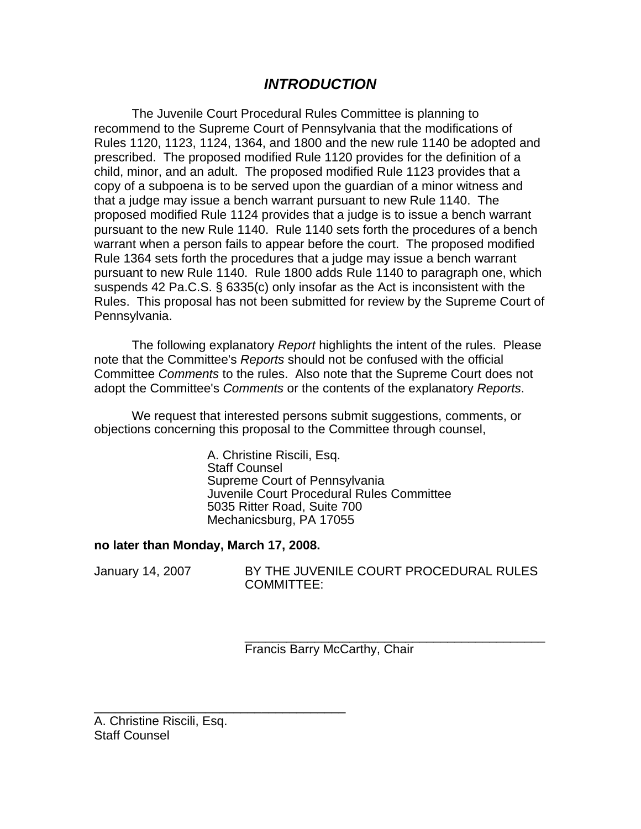# *INTRODUCTION*

The Juvenile Court Procedural Rules Committee is planning to recommend to the Supreme Court of Pennsylvania that the modifications of Rules 1120, 1123, 1124, 1364, and 1800 and the new rule 1140 be adopted and prescribed. The proposed modified Rule 1120 provides for the definition of a child, minor, and an adult. The proposed modified Rule 1123 provides that a copy of a subpoena is to be served upon the guardian of a minor witness and that a judge may issue a bench warrant pursuant to new Rule 1140. The proposed modified Rule 1124 provides that a judge is to issue a bench warrant pursuant to the new Rule 1140. Rule 1140 sets forth the procedures of a bench warrant when a person fails to appear before the court. The proposed modified Rule 1364 sets forth the procedures that a judge may issue a bench warrant pursuant to new Rule 1140. Rule 1800 adds Rule 1140 to paragraph one, which suspends 42 Pa.C.S. § 6335(c) only insofar as the Act is inconsistent with the Rules. This proposal has not been submitted for review by the Supreme Court of Pennsylvania.

The following explanatory *Report* highlights the intent of the rules. Please note that the Committee's *Reports* should not be confused with the official Committee *Comments* to the rules. Also note that the Supreme Court does not adopt the Committee's *Comments* or the contents of the explanatory *Reports*.

We request that interested persons submit suggestions, comments, or objections concerning this proposal to the Committee through counsel,

> A. Christine Riscili, Esq. Staff Counsel Supreme Court of Pennsylvania Juvenile Court Procedural Rules Committee 5035 Ritter Road, Suite 700 Mechanicsburg, PA 17055

### **no later than Monday, March 17, 2008.**

\_\_\_\_\_\_\_\_\_\_\_\_\_\_\_\_\_\_\_\_\_\_\_\_\_\_\_\_\_\_\_\_\_\_\_\_

January 14, 2007 BY THE JUVENILE COURT PROCEDURAL RULES COMMITTEE:

> \_\_\_\_\_\_\_\_\_\_\_\_\_\_\_\_\_\_\_\_\_\_\_\_\_\_\_\_\_\_\_\_\_\_\_\_\_\_\_\_\_\_\_ Francis Barry McCarthy, Chair

A. Christine Riscili, Esq. Staff Counsel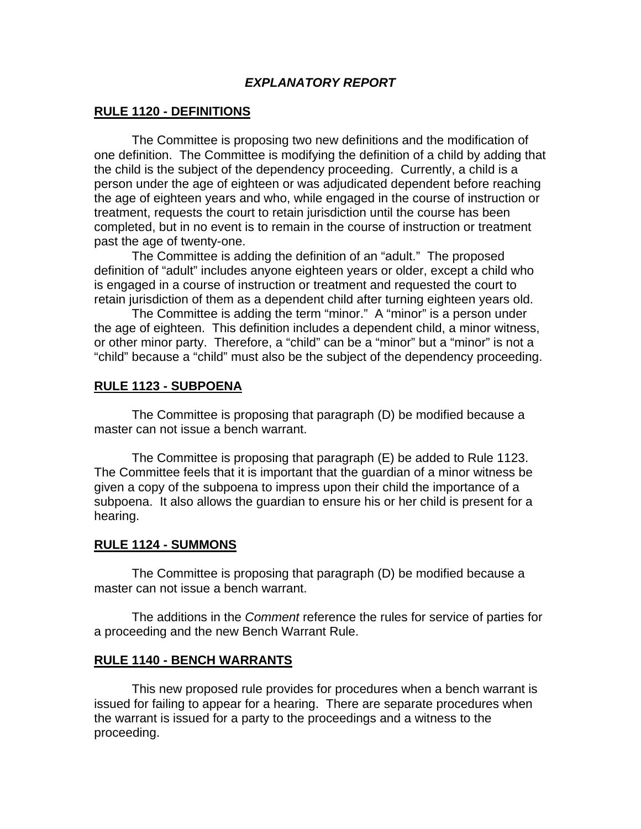## *EXPLANATORY REPORT*

## **RULE 1120 - DEFINITIONS**

 The Committee is proposing two new definitions and the modification of one definition. The Committee is modifying the definition of a child by adding that the child is the subject of the dependency proceeding. Currently, a child is a person under the age of eighteen or was adjudicated dependent before reaching the age of eighteen years and who, while engaged in the course of instruction or treatment, requests the court to retain jurisdiction until the course has been completed, but in no event is to remain in the course of instruction or treatment past the age of twenty-one.

 The Committee is adding the definition of an "adult." The proposed definition of "adult" includes anyone eighteen years or older, except a child who is engaged in a course of instruction or treatment and requested the court to retain jurisdiction of them as a dependent child after turning eighteen years old.

The Committee is adding the term "minor." A "minor" is a person under the age of eighteen. This definition includes a dependent child, a minor witness, or other minor party. Therefore, a "child" can be a "minor" but a "minor" is not a "child" because a "child" must also be the subject of the dependency proceeding.

## **RULE 1123 - SUBPOENA**

 The Committee is proposing that paragraph (D) be modified because a master can not issue a bench warrant.

The Committee is proposing that paragraph (E) be added to Rule 1123. The Committee feels that it is important that the guardian of a minor witness be given a copy of the subpoena to impress upon their child the importance of a subpoena. It also allows the guardian to ensure his or her child is present for a hearing.

### **RULE 1124 - SUMMONS**

The Committee is proposing that paragraph (D) be modified because a master can not issue a bench warrant.

The additions in the *Comment* reference the rules for service of parties for a proceeding and the new Bench Warrant Rule.

### **RULE 1140 - BENCH WARRANTS**

 This new proposed rule provides for procedures when a bench warrant is issued for failing to appear for a hearing. There are separate procedures when the warrant is issued for a party to the proceedings and a witness to the proceeding.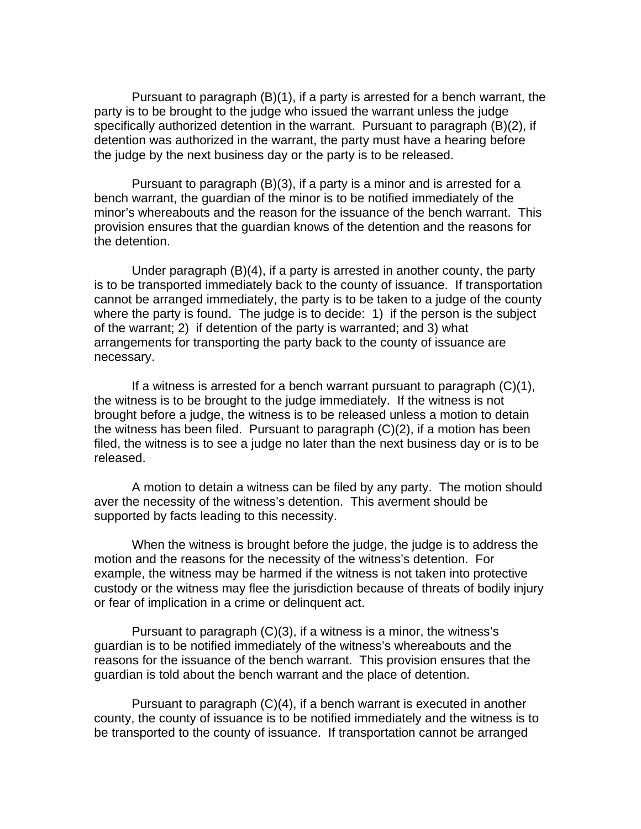Pursuant to paragraph (B)(1), if a party is arrested for a bench warrant, the party is to be brought to the judge who issued the warrant unless the judge specifically authorized detention in the warrant. Pursuant to paragraph (B)(2), if detention was authorized in the warrant, the party must have a hearing before the judge by the next business day or the party is to be released.

 Pursuant to paragraph (B)(3), if a party is a minor and is arrested for a bench warrant, the guardian of the minor is to be notified immediately of the minor's whereabouts and the reason for the issuance of the bench warrant. This provision ensures that the guardian knows of the detention and the reasons for the detention.

 Under paragraph (B)(4), if a party is arrested in another county, the party is to be transported immediately back to the county of issuance. If transportation cannot be arranged immediately, the party is to be taken to a judge of the county where the party is found. The judge is to decide: 1) if the person is the subject of the warrant; 2) if detention of the party is warranted; and 3) what arrangements for transporting the party back to the county of issuance are necessary.

If a witness is arrested for a bench warrant pursuant to paragraph  $(C)(1)$ , the witness is to be brought to the judge immediately. If the witness is not brought before a judge, the witness is to be released unless a motion to detain the witness has been filed. Pursuant to paragraph (C)(2), if a motion has been filed, the witness is to see a judge no later than the next business day or is to be released.

 A motion to detain a witness can be filed by any party. The motion should aver the necessity of the witness's detention. This averment should be supported by facts leading to this necessity.

 When the witness is brought before the judge, the judge is to address the motion and the reasons for the necessity of the witness's detention. For example, the witness may be harmed if the witness is not taken into protective custody or the witness may flee the jurisdiction because of threats of bodily injury or fear of implication in a crime or delinquent act.

 Pursuant to paragraph (C)(3), if a witness is a minor, the witness's guardian is to be notified immediately of the witness's whereabouts and the reasons for the issuance of the bench warrant. This provision ensures that the guardian is told about the bench warrant and the place of detention.

 Pursuant to paragraph (C)(4), if a bench warrant is executed in another county, the county of issuance is to be notified immediately and the witness is to be transported to the county of issuance. If transportation cannot be arranged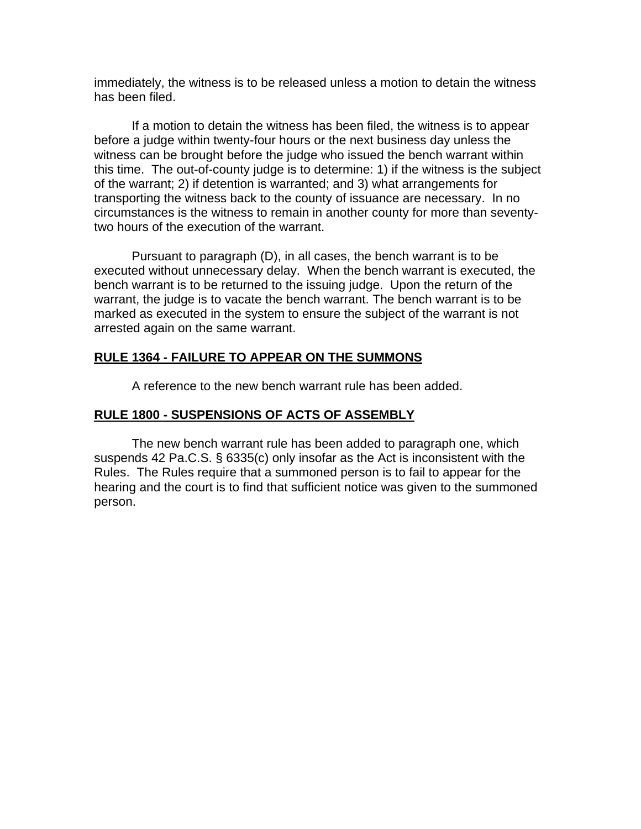immediately, the witness is to be released unless a motion to detain the witness has been filed.

 If a motion to detain the witness has been filed, the witness is to appear before a judge within twenty-four hours or the next business day unless the witness can be brought before the judge who issued the bench warrant within this time. The out-of-county judge is to determine: 1) if the witness is the subject of the warrant; 2) if detention is warranted; and 3) what arrangements for transporting the witness back to the county of issuance are necessary. In no circumstances is the witness to remain in another county for more than seventytwo hours of the execution of the warrant.

 Pursuant to paragraph (D), in all cases, the bench warrant is to be executed without unnecessary delay. When the bench warrant is executed, the bench warrant is to be returned to the issuing judge. Upon the return of the warrant, the judge is to vacate the bench warrant. The bench warrant is to be marked as executed in the system to ensure the subject of the warrant is not arrested again on the same warrant.

# **RULE 1364 - FAILURE TO APPEAR ON THE SUMMONS**

A reference to the new bench warrant rule has been added.

## **RULE 1800 - SUSPENSIONS OF ACTS OF ASSEMBLY**

 The new bench warrant rule has been added to paragraph one, which suspends 42 Pa.C.S. § 6335(c) only insofar as the Act is inconsistent with the Rules. The Rules require that a summoned person is to fail to appear for the hearing and the court is to find that sufficient notice was given to the summoned person.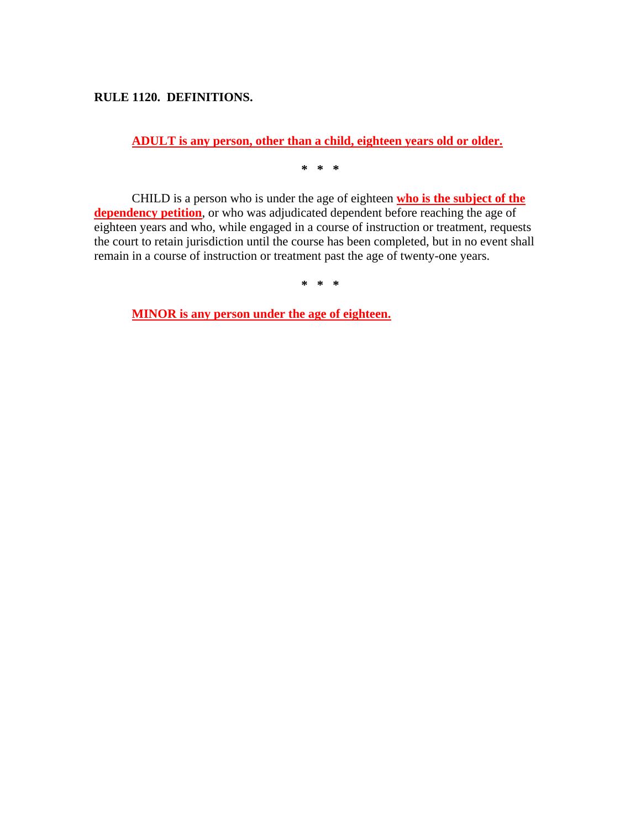## **RULE 1120. DEFINITIONS.**

**ADULT is any person, other than a child, eighteen years old or older.**

**\* \* \*** 

CHILD is a person who is under the age of eighteen **who is the subject of the dependency petition**, or who was adjudicated dependent before reaching the age of eighteen years and who, while engaged in a course of instruction or treatment, requests the court to retain jurisdiction until the course has been completed, but in no event shall remain in a course of instruction or treatment past the age of twenty-one years.

**\* \* \*** 

**MINOR is any person under the age of eighteen.**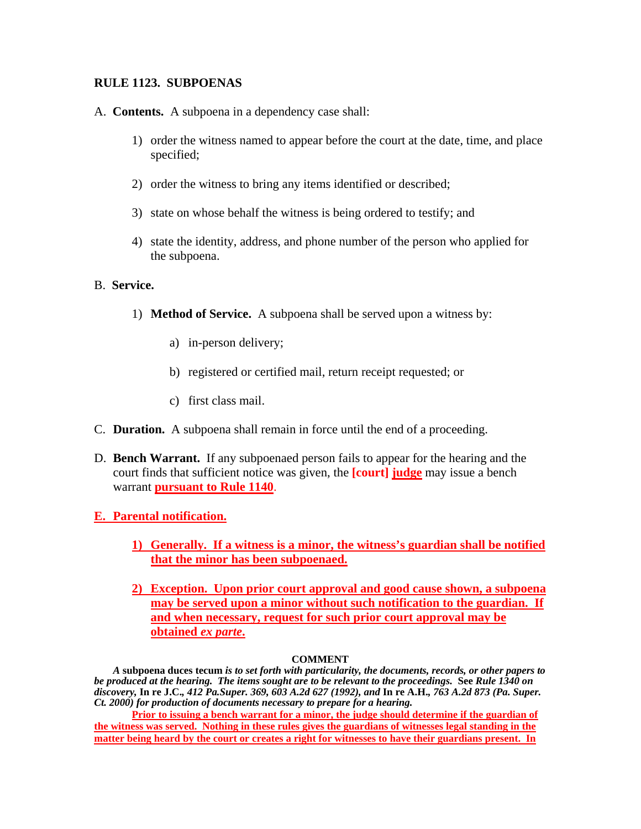## **RULE 1123. SUBPOENAS**

- A. **Contents.** A subpoena in a dependency case shall:
	- 1) order the witness named to appear before the court at the date, time, and place specified;
	- 2) order the witness to bring any items identified or described;
	- 3) state on whose behalf the witness is being ordered to testify; and
	- 4) state the identity, address, and phone number of the person who applied for the subpoena.

### B. **Service.**

- 1) **Method of Service.** A subpoena shall be served upon a witness by:
	- a) in-person delivery;
	- b) registered or certified mail, return receipt requested; or
	- c) first class mail.
- C. **Duration.** A subpoena shall remain in force until the end of a proceeding.
- D. **Bench Warrant.** If any subpoenaed person fails to appear for the hearing and the court finds that sufficient notice was given, the **[court] judge** may issue a bench warrant **pursuant to Rule 1140**.
- **E. Parental notification.** 
	- **1) Generally. If a witness is a minor, the witness's guardian shall be notified that the minor has been subpoenaed.**
	- **2) Exception. Upon prior court approval and good cause shown, a subpoena may be served upon a minor without such notification to the guardian. If and when necessary, request for such prior court approval may be obtained** *ex parte***.**

### **COMMENT**

*A* **subpoena duces tecum** *is to set forth with particularity, the documents, records, or other papers to be produced at the hearing. The items sought are to be relevant to the proceedings.* **See** *Rule 1340 on discovery,* **In re J.C.***, 412 Pa.Super. 369, 603 A.2d 627 (1992), and* **In re A.H.***, 763 A.2d 873 (Pa. Super. Ct. 2000) for production of documents necessary to prepare for a hearing.* 

**Prior to issuing a bench warrant for a minor, the judge should determine if the guardian of the witness was served. Nothing in these rules gives the guardians of witnesses legal standing in the matter being heard by the court or creates a right for witnesses to have their guardians present. In**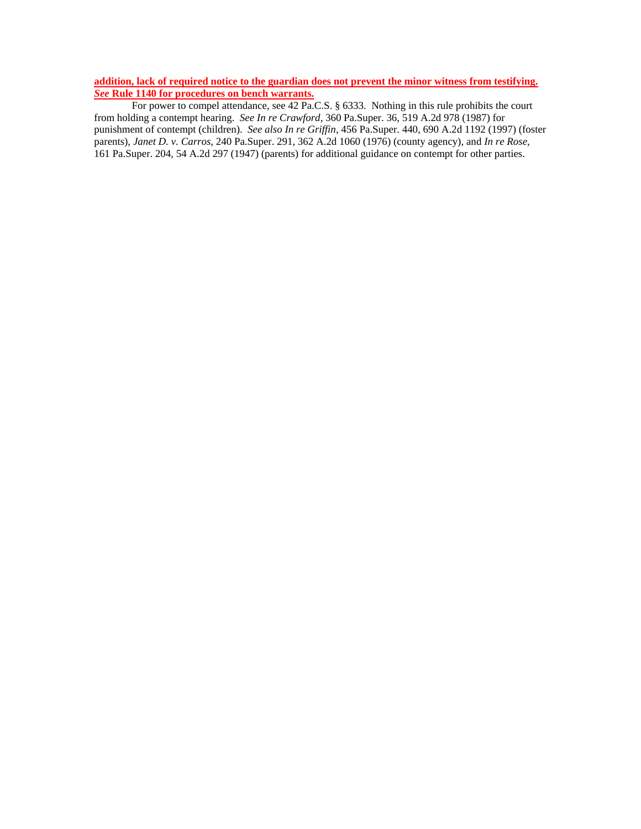**addition, lack of required notice to the guardian does not prevent the minor witness from testifying.**  *See* **Rule 1140 for procedures on bench warrants.**

For power to compel attendance, see 42 Pa.C.S. § 6333. Nothing in this rule prohibits the court from holding a contempt hearing. *See In re Crawford*, 360 Pa.Super. 36, 519 A.2d 978 (1987) for punishment of contempt (children). *See also In re Griffin*, 456 Pa.Super. 440, 690 A.2d 1192 (1997) (foster parents), *Janet D. v. Carros*, 240 Pa.Super. 291, 362 A.2d 1060 (1976) (county agency), and *In re Rose*, 161 Pa.Super. 204, 54 A.2d 297 (1947) (parents) for additional guidance on contempt for other parties.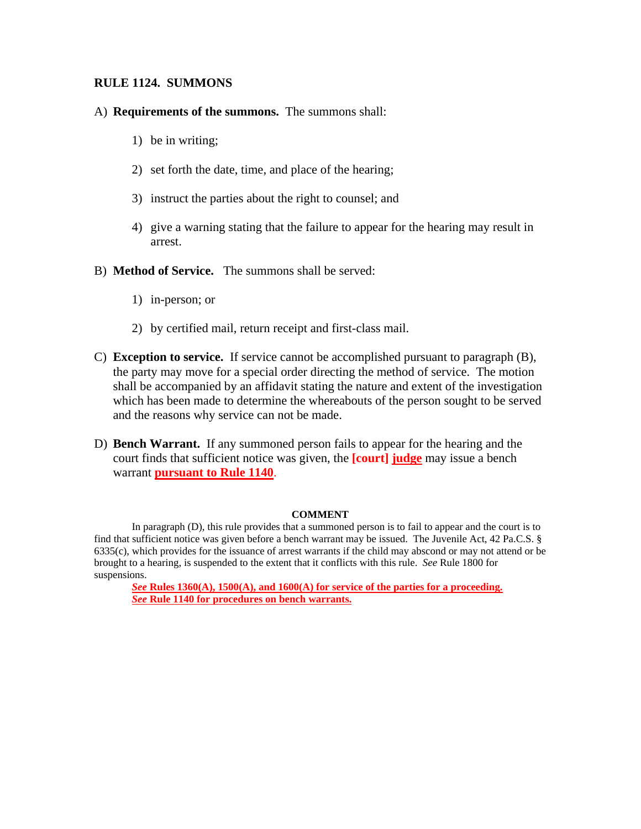### **RULE 1124. SUMMONS**

### A) **Requirements of the summons.** The summons shall:

- 1) be in writing;
- 2) set forth the date, time, and place of the hearing;
- 3) instruct the parties about the right to counsel; and
- 4) give a warning stating that the failure to appear for the hearing may result in arrest.
- B) **Method of Service.** The summons shall be served:
	- 1) in-person; or
	- 2) by certified mail, return receipt and first-class mail.
- C) **Exception to service.** If service cannot be accomplished pursuant to paragraph (B), the party may move for a special order directing the method of service. The motion shall be accompanied by an affidavit stating the nature and extent of the investigation which has been made to determine the whereabouts of the person sought to be served and the reasons why service can not be made.
- D) **Bench Warrant.** If any summoned person fails to appear for the hearing and the court finds that sufficient notice was given, the **[court] judge** may issue a bench warrant **pursuant to Rule 1140**.

#### **COMMENT**

In paragraph (D), this rule provides that a summoned person is to fail to appear and the court is to find that sufficient notice was given before a bench warrant may be issued. The Juvenile Act, 42 Pa.C.S. § 6335(c), which provides for the issuance of arrest warrants if the child may abscond or may not attend or be brought to a hearing, is suspended to the extent that it conflicts with this rule. *See* Rule 1800 for suspensions.

*See* Rules 1360(A), 1500(A), and 1600(A) for service of the parties for a proceeding. *See* **Rule 1140 for procedures on bench warrants.**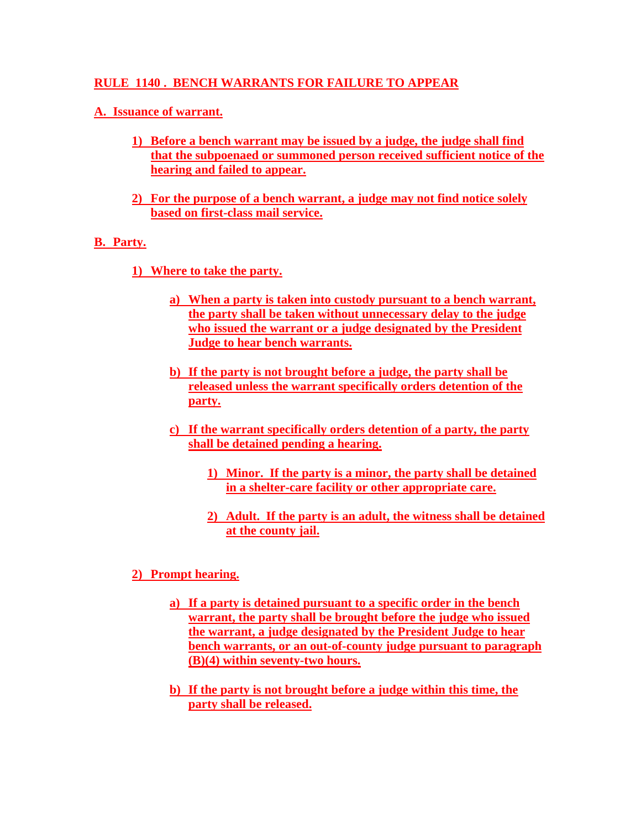## **RULE 1140 . BENCH WARRANTS FOR FAILURE TO APPEAR**

## **A. Issuance of warrant.**

- **1) Before a bench warrant may be issued by a judge, the judge shall find that the subpoenaed or summoned person received sufficient notice of the hearing and failed to appear.**
- **2) For the purpose of a bench warrant, a judge may not find notice solely based on first-class mail service.**

## **B. Party.**

- **1) Where to take the party.** 
	- **a) When a party is taken into custody pursuant to a bench warrant, the party shall be taken without unnecessary delay to the judge who issued the warrant or a judge designated by the President Judge to hear bench warrants.**
	- **b) If the party is not brought before a judge, the party shall be released unless the warrant specifically orders detention of the party.**
	- **c) If the warrant specifically orders detention of a party, the party shall be detained pending a hearing.** 
		- **1) Minor. If the party is a minor, the party shall be detained in a shelter-care facility or other appropriate care.**
		- **2) Adult. If the party is an adult, the witness shall be detained at the county jail.**

## **2) Prompt hearing.**

- **a) If a party is detained pursuant to a specific order in the bench warrant, the party shall be brought before the judge who issued the warrant, a judge designated by the President Judge to hear bench warrants, or an out-of-county judge pursuant to paragraph (B)(4) within seventy-two hours.**
- **b) If the party is not brought before a judge within this time, the party shall be released.**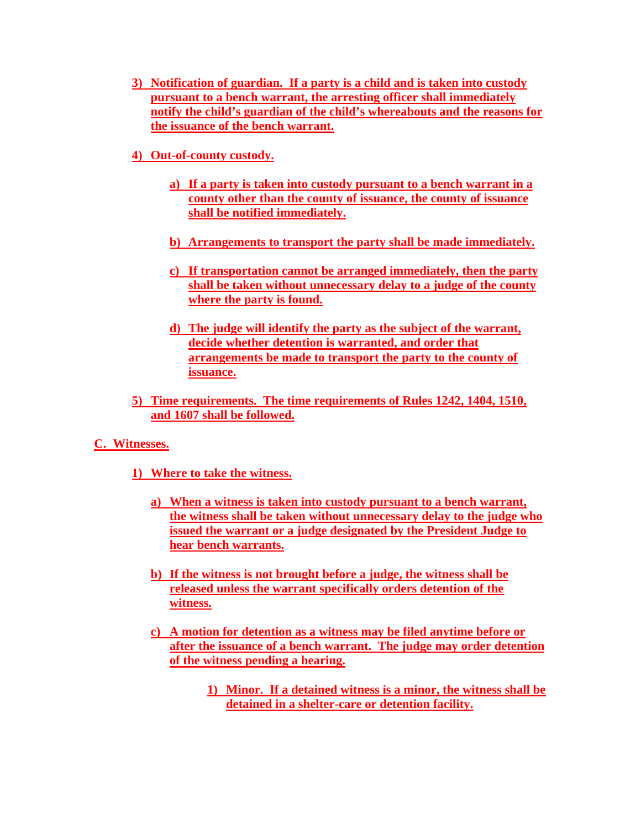- **3) Notification of guardian. If a party is a child and is taken into custody pursuant to a bench warrant, the arresting officer shall immediately notify the child's guardian of the child's whereabouts and the reasons for the issuance of the bench warrant.**
- **4) Out-of-county custody.** 
	- **a) If a party is taken into custody pursuant to a bench warrant in a county other than the county of issuance, the county of issuance shall be notified immediately.**
	- **b) Arrangements to transport the party shall be made immediately.**
	- **c) If transportation cannot be arranged immediately, then the party shall be taken without unnecessary delay to a judge of the county where the party is found.**
	- **d) The judge will identify the party as the subject of the warrant, decide whether detention is warranted, and order that arrangements be made to transport the party to the county of issuance.**
- **5) Time requirements. The time requirements of Rules 1242, 1404, 1510, and 1607 shall be followed.**

## **C. Witnesses.**

- **1) Where to take the witness.** 
	- **a) When a witness is taken into custody pursuant to a bench warrant, the witness shall be taken without unnecessary delay to the judge who issued the warrant or a judge designated by the President Judge to hear bench warrants.**
	- **b) If the witness is not brought before a judge, the witness shall be released unless the warrant specifically orders detention of the witness.**
	- **c) A motion for detention as a witness may be filed anytime before or after the issuance of a bench warrant. The judge may order detention of the witness pending a hearing.**
		- **1) Minor. If a detained witness is a minor, the witness shall be detained in a shelter-care or detention facility.**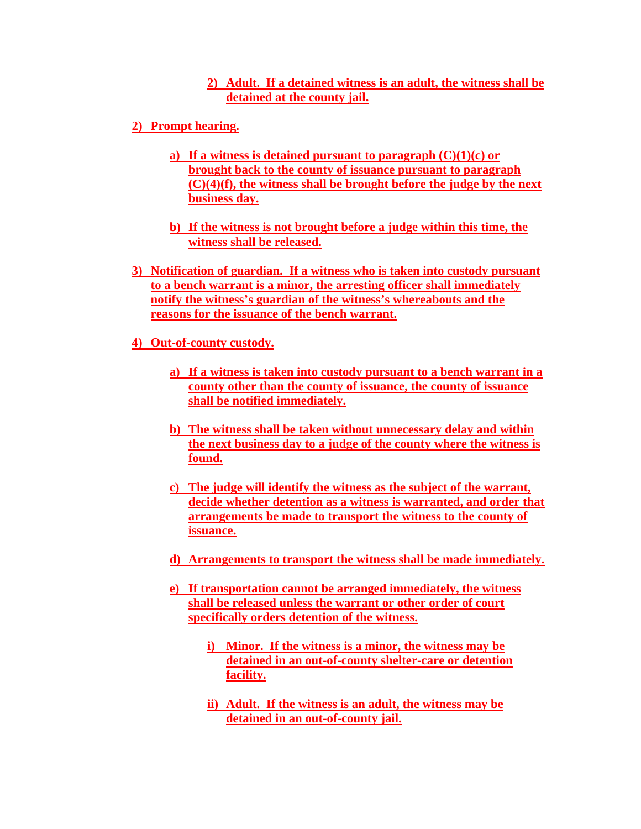## **2) Adult. If a detained witness is an adult, the witness shall be detained at the county jail.**

- **2) Prompt hearing.** 
	- **a) If a witness is detained pursuant to paragraph (C)(1)(c) or brought back to the county of issuance pursuant to paragraph (C)(4)(f), the witness shall be brought before the judge by the next business day.**
	- **b) If the witness is not brought before a judge within this time, the witness shall be released.**
- **3) Notification of guardian. If a witness who is taken into custody pursuant to a bench warrant is a minor, the arresting officer shall immediately notify the witness's guardian of the witness's whereabouts and the reasons for the issuance of the bench warrant.**
- **4) Out-of-county custody.** 
	- **a) If a witness is taken into custody pursuant to a bench warrant in a county other than the county of issuance, the county of issuance shall be notified immediately.**
	- **b) The witness shall be taken without unnecessary delay and within the next business day to a judge of the county where the witness is found.**
	- **c) The judge will identify the witness as the subject of the warrant, decide whether detention as a witness is warranted, and order that arrangements be made to transport the witness to the county of issuance.**
	- **d) Arrangements to transport the witness shall be made immediately.**
	- **e) If transportation cannot be arranged immediately, the witness shall be released unless the warrant or other order of court specifically orders detention of the witness.**
		- **i) Minor. If the witness is a minor, the witness may be detained in an out-of-county shelter-care or detention facility.**
		- **ii) Adult. If the witness is an adult, the witness may be detained in an out-of-county jail.**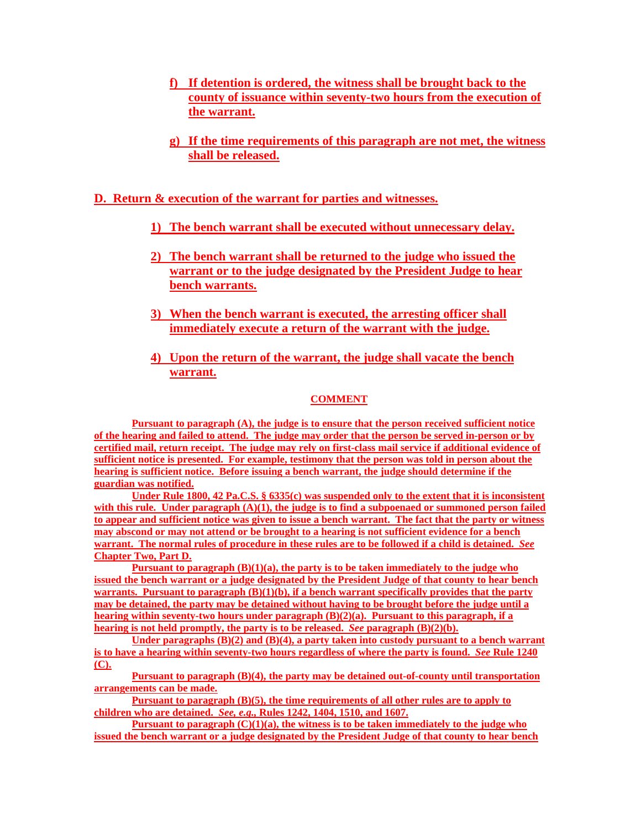- **f) If detention is ordered, the witness shall be brought back to the county of issuance within seventy-two hours from the execution of the warrant.**
- **g) If the time requirements of this paragraph are not met, the witness shall be released.**

### **D. Return & execution of the warrant for parties and witnesses.**

- **1) The bench warrant shall be executed without unnecessary delay.**
- **2) The bench warrant shall be returned to the judge who issued the warrant or to the judge designated by the President Judge to hear bench warrants.**
- **3) When the bench warrant is executed, the arresting officer shall immediately execute a return of the warrant with the judge.**
- **4) Upon the return of the warrant, the judge shall vacate the bench warrant.**

### **COMMENT**

**Pursuant to paragraph (A), the judge is to ensure that the person received sufficient notice of the hearing and failed to attend. The judge may order that the person be served in-person or by certified mail, return receipt. The judge may rely on first-class mail service if additional evidence of sufficient notice is presented. For example, testimony that the person was told in person about the hearing is sufficient notice. Before issuing a bench warrant, the judge should determine if the guardian was notified.** 

**Under Rule 1800, 42 Pa.C.S. § 6335(c) was suspended only to the extent that it is inconsistent with this rule. Under paragraph (A)(1), the judge is to find a subpoenaed or summoned person failed to appear and sufficient notice was given to issue a bench warrant. The fact that the party or witness may abscond or may not attend or be brought to a hearing is not sufficient evidence for a bench warrant. The normal rules of procedure in these rules are to be followed if a child is detained.** *See* **Chapter Two, Part D.**

**Pursuant to paragraph (B)(1)(a), the party is to be taken immediately to the judge who issued the bench warrant or a judge designated by the President Judge of that county to hear bench warrants. Pursuant to paragraph (B)(1)(b), if a bench warrant specifically provides that the party may be detained, the party may be detained without having to be brought before the judge until a hearing within seventy-two hours under paragraph (B)(2)(a). Pursuant to this paragraph, if a hearing is not held promptly, the party is to be released.** *See* **paragraph (B)(2)(b).**

**Under paragraphs (B)(2) and (B)(4), a party taken into custody pursuant to a bench warrant is to have a hearing within seventy-two hours regardless of where the party is found.** *See* **Rule 1240 (C).**

**Pursuant to paragraph (B)(4), the party may be detained out-of-county until transportation arrangements can be made.** 

**Pursuant to paragraph (B)(5), the time requirements of all other rules are to apply to children who are detained.** *See, e.g.,* **Rules 1242, 1404, 1510, and 1607.**

**Pursuant to paragraph (C)(1)(a), the witness is to be taken immediately to the judge who issued the bench warrant or a judge designated by the President Judge of that county to hear bench**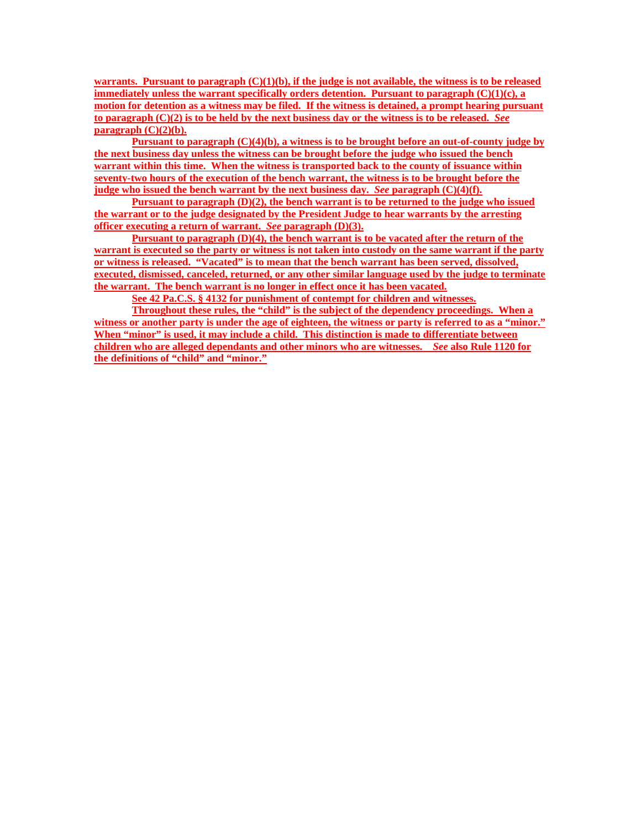**warrants. Pursuant to paragraph (C)(1)(b), if the judge is not available, the witness is to be released immediately unless the warrant specifically orders detention. Pursuant to paragraph (C)(1)(c), a motion for detention as a witness may be filed. If the witness is detained, a prompt hearing pursuant to paragraph (C)(2) is to be held by the next business day or the witness is to be released.** *See* **paragraph (C)(2)(b).**

**Pursuant to paragraph (C)(4)(b), a witness is to be brought before an out-of-county judge by the next business day unless the witness can be brought before the judge who issued the bench warrant within this time. When the witness is transported back to the county of issuance within seventy-two hours of the execution of the bench warrant, the witness is to be brought before the judge who issued the bench warrant by the next business day.** *See* **paragraph (C)(4)(f).**

**Pursuant to paragraph (D)(2), the bench warrant is to be returned to the judge who issued the warrant or to the judge designated by the President Judge to hear warrants by the arresting officer executing a return of warrant.** *See* **paragraph (D)(3).**

**Pursuant to paragraph (D)(4), the bench warrant is to be vacated after the return of the warrant is executed so the party or witness is not taken into custody on the same warrant if the party or witness is released. "Vacated" is to mean that the bench warrant has been served, dissolved, executed, dismissed, canceled, returned, or any other similar language used by the judge to terminate the warrant. The bench warrant is no longer in effect once it has been vacated.**

**See 42 Pa.C.S. § 4132 for punishment of contempt for children and witnesses.**

**Throughout these rules, the "child" is the subject of the dependency proceedings. When a witness or another party is under the age of eighteen, the witness or party is referred to as a "minor." When "minor" is used, it may include a child. This distinction is made to differentiate between children who are alleged dependants and other minors who are witnesses.** *See* **also Rule 1120 for the definitions of "child" and "minor."**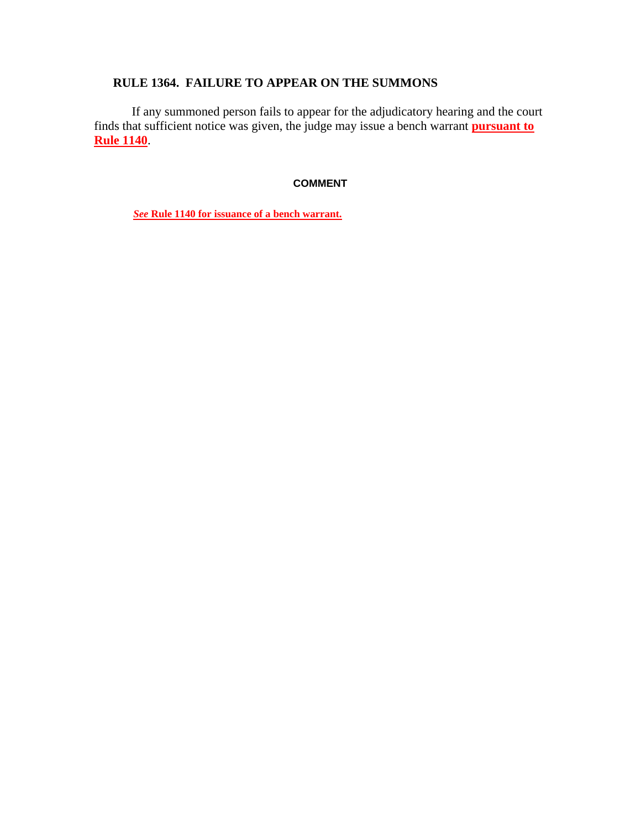# **RULE 1364. FAILURE TO APPEAR ON THE SUMMONS**

If any summoned person fails to appear for the adjudicatory hearing and the court finds that sufficient notice was given, the judge may issue a bench warrant **pursuant to Rule 1140**.

### **COMMENT**

*See* **Rule 1140 for issuance of a bench warrant.**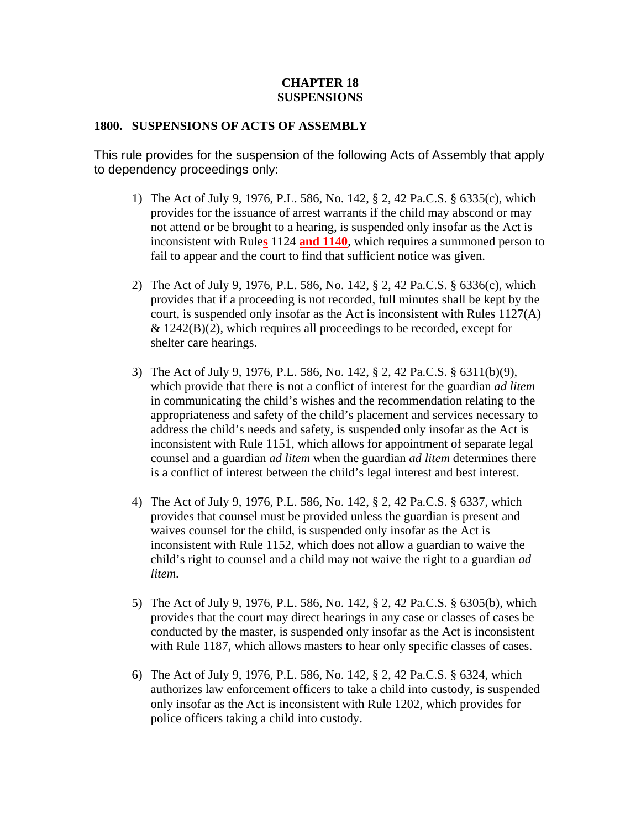### **CHAPTER 18 SUSPENSIONS**

### **1800. SUSPENSIONS OF ACTS OF ASSEMBLY**

This rule provides for the suspension of the following Acts of Assembly that apply to dependency proceedings only:

- 1) The Act of July 9, 1976, P.L. 586, No. 142, § 2, 42 Pa.C.S. § 6335(c), which provides for the issuance of arrest warrants if the child may abscond or may not attend or be brought to a hearing, is suspended only insofar as the Act is inconsistent with Rule**s** 1124 **and 1140**, which requires a summoned person to fail to appear and the court to find that sufficient notice was given.
- 2) The Act of July 9, 1976, P.L. 586, No. 142, § 2, 42 Pa.C.S. § 6336(c), which provides that if a proceeding is not recorded, full minutes shall be kept by the court, is suspended only insofar as the Act is inconsistent with Rules 1127(A)  $& 1242(B)(2)$ , which requires all proceedings to be recorded, except for shelter care hearings.
- 3) The Act of July 9, 1976, P.L. 586, No. 142, § 2, 42 Pa.C.S. § 6311(b)(9), which provide that there is not a conflict of interest for the guardian *ad litem* in communicating the child's wishes and the recommendation relating to the appropriateness and safety of the child's placement and services necessary to address the child's needs and safety, is suspended only insofar as the Act is inconsistent with Rule 1151, which allows for appointment of separate legal counsel and a guardian *ad litem* when the guardian *ad litem* determines there is a conflict of interest between the child's legal interest and best interest.
- 4) The Act of July 9, 1976, P.L. 586, No. 142, § 2, 42 Pa.C.S. § 6337, which provides that counsel must be provided unless the guardian is present and waives counsel for the child, is suspended only insofar as the Act is inconsistent with Rule 1152, which does not allow a guardian to waive the child's right to counsel and a child may not waive the right to a guardian *ad litem*.
- 5) The Act of July 9, 1976, P.L. 586, No. 142, § 2, 42 Pa.C.S. § 6305(b), which provides that the court may direct hearings in any case or classes of cases be conducted by the master, is suspended only insofar as the Act is inconsistent with Rule 1187, which allows masters to hear only specific classes of cases.
- 6) The Act of July 9, 1976, P.L. 586, No. 142, § 2, 42 Pa.C.S. § 6324, which authorizes law enforcement officers to take a child into custody, is suspended only insofar as the Act is inconsistent with Rule 1202, which provides for police officers taking a child into custody.